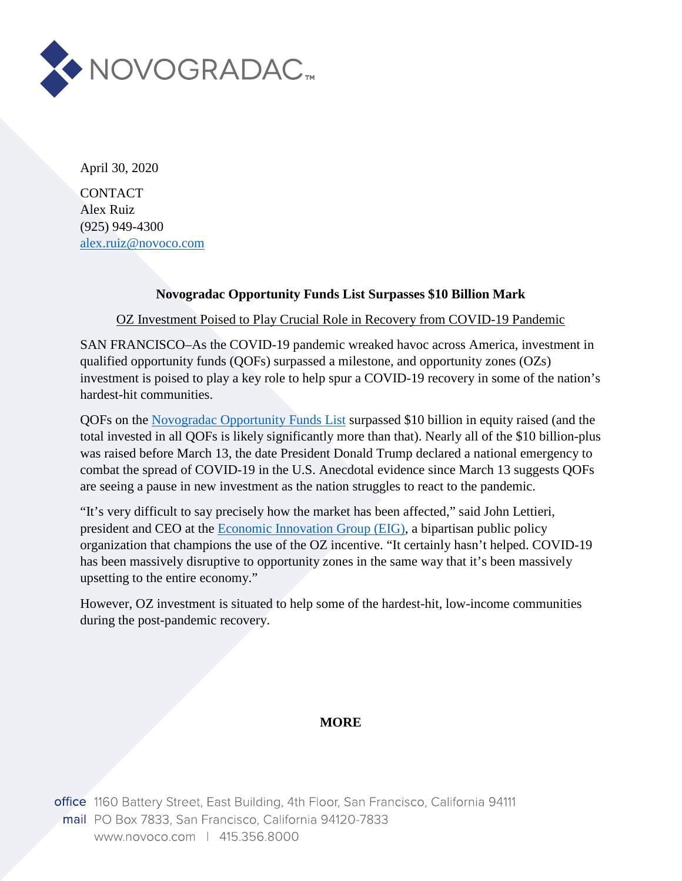

April 30, 2020

**CONTACT** Alex Ruiz (925) 949-4300 [alex.ruiz@novoco.com](mailto:alex.ruiz@novoco.com)

## **Novogradac Opportunity Funds List Surpasses \$10 Billion Mark**

OZ Investment Poised to Play Crucial Role in Recovery from COVID-19 Pandemic

SAN FRANCISCO–As the COVID-19 pandemic wreaked havoc across America, investment in qualified opportunity funds (QOFs) surpassed a milestone, and opportunity zones (OZs) investment is poised to play a key role to help spur a COVID-19 recovery in some of the nation's hardest-hit communities.

QOFs on the [Novogradac Opportunity Funds List](https://www.novoco.com/resource-centers/opportunity-zone-resource-center/opportunity-funds-listing) surpassed \$10 billion in equity raised (and the total invested in all QOFs is likely significantly more than that). Nearly all of the \$10 billion-plus was raised before March 13, the date President Donald Trump declared a national emergency to combat the spread of COVID-19 in the U.S. Anecdotal evidence since March 13 suggests QOFs are seeing a pause in new investment as the nation struggles to react to the pandemic.

"It's very difficult to say precisely how the market has been affected," said John Lettieri, president and CEO at the [Economic Innovation Group \(EIG\),](https://eig.org/) a bipartisan public policy organization that champions the use of the OZ incentive. "It certainly hasn't helped. COVID-19 has been massively disruptive to opportunity zones in the same way that it's been massively upsetting to the entire economy."

However, OZ investment is situated to help some of the hardest-hit, low-income communities during the post-pandemic recovery.

## **MORE**

office 1160 Battery Street, East Building, 4th Floor, San Francisco, California 94111 mail PO Box 7833, San Francisco, California 94120-7833 www.novoco.com | 415.356.8000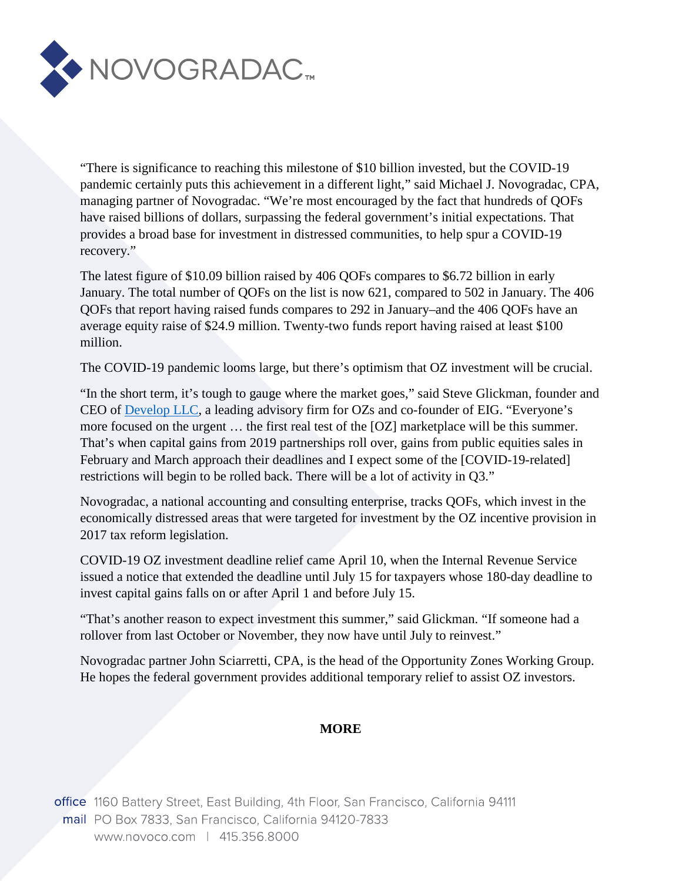

"There is significance to reaching this milestone of \$10 billion invested, but the COVID-19 pandemic certainly puts this achievement in a different light," said Michael J. Novogradac, CPA, managing partner of Novogradac. "We're most encouraged by the fact that hundreds of QOFs have raised billions of dollars, surpassing the federal government's initial expectations. That provides a broad base for investment in distressed communities, to help spur a COVID-19 recovery."

The latest figure of \$10.09 billion raised by 406 QOFs compares to \$6.72 billion in early January. The total number of QOFs on the list is now 621, compared to 502 in January. The 406 QOFs that report having raised funds compares to 292 in January–and the 406 QOFs have an average equity raise of \$24.9 million. Twenty-two funds report having raised at least \$100 million.

The COVID-19 pandemic looms large, but there's optimism that OZ investment will be crucial.

"In the short term, it's tough to gauge where the market goes," said Steve Glickman, founder and CEO of [Develop LLC,](https://www.developadvisors.com/) a leading advisory firm for OZs and co-founder of EIG. "Everyone's more focused on the urgent … the first real test of the [OZ] marketplace will be this summer. That's when capital gains from 2019 partnerships roll over, gains from public equities sales in February and March approach their deadlines and I expect some of the [COVID-19-related] restrictions will begin to be rolled back. There will be a lot of activity in Q3."

Novogradac, a national accounting and consulting enterprise, tracks QOFs, which invest in the economically distressed areas that were targeted for investment by the OZ incentive provision in 2017 tax reform legislation.

COVID-19 OZ investment deadline relief came April 10, when the Internal Revenue Service issued a notice that extended the deadline until July 15 for taxpayers whose 180-day deadline to invest capital gains falls on or after April 1 and before July 15.

"That's another reason to expect investment this summer," said Glickman. "If someone had a rollover from last October or November, they now have until July to reinvest."

Novogradac partner John Sciarretti, CPA, is the head of the Opportunity Zones Working Group. He hopes the federal government provides additional temporary relief to assist OZ investors.

## **MORE**